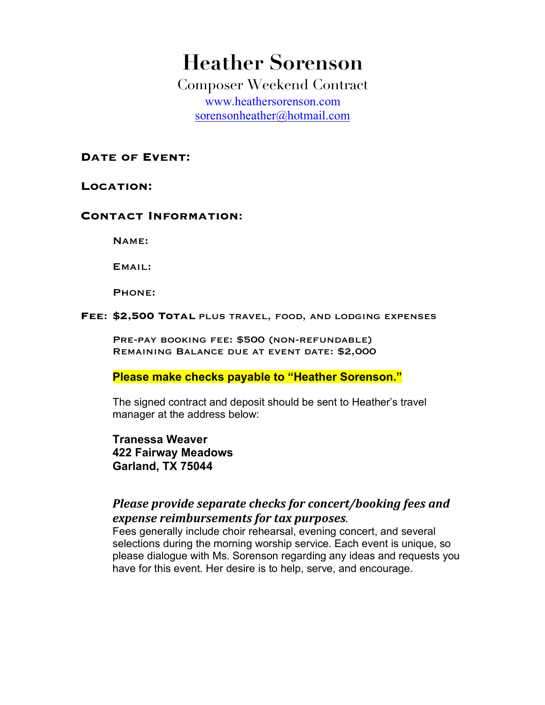# **Heather Sorenson**

Composer Weekend Contract www.heathersorenson.com sorensonheather@hotmail.com

DATE OF **EVENT**:

#### LOCATION:

### **Contact Information**:

Name:

Email:

Phone:

**Fee**: **\$2,500 Total** plus travel, food, and lodging expenses

PRE-PAY BOOKING FEE: \$500 (NON-REFUNDABLE) Remaining Balance due at event date: \$2,000

**Please make checks payable to "Heather Sorenson."** 

The signed contract and deposit should be sent to Heather's travel manager at the address below:

**Tranessa Weaver 422 Fairway Meadows Garland, TX 75044** 

## Please provide separate checks for concert/booking fees and *expense reimbursements for tax purposes.*

Fees generally include choir rehearsal, evening concert, and several selections during the morning worship service. Each event is unique, so please dialogue with Ms. Sorenson regarding any ideas and requests you have for this event. Her desire is to help, serve, and encourage.